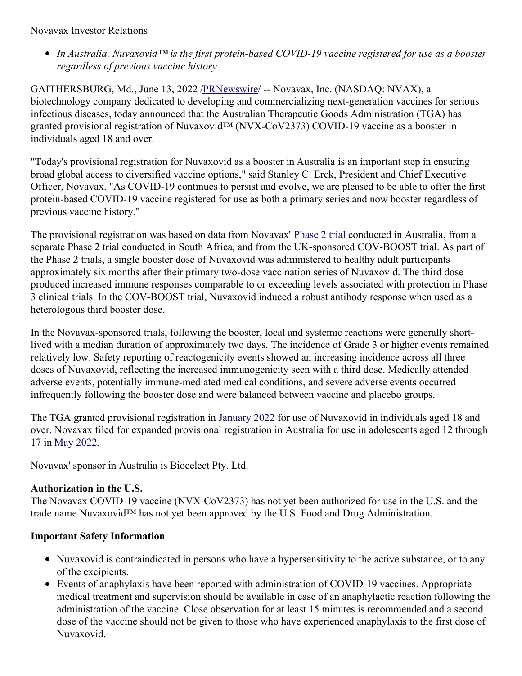### Novavax Investor Relations

*In Australia, Nuvaxovid™ is the first protein-based COVID-19 vaccine registered for use as a booster regardless of previous vaccine history*

GAITHERSBURG, Md., June 13, 2022 [/PRNewswire](http://www.prnewswire.com/)/ -- Novavax, Inc. (NASDAQ: NVAX), a biotechnology company dedicated to developing and commercializing next-generation vaccines for serious infectious diseases, today announced that the Australian Therapeutic Goods Administration (TGA) has granted provisional registration of Nuvaxovid™ (NVX-CoV2373) COVID-19 vaccine as a booster in individuals aged 18 and over.

"Today's provisional registration for Nuvaxovid as a booster in Australia is an important step in ensuring broad global access to diversified vaccine options," said Stanley C. Erck, President and Chief Executive Officer, Novavax. "As COVID-19 continues to persist and evolve, we are pleased to be able to offer the first protein-based COVID-19 vaccine registered for use as both a primary series and now booster regardless of previous vaccine history."

The provisional registration was based on data from Novavax' [Phase](https://c212.net/c/link/?t=0&l=en&o=3564758-1&h=2627944671&u=https%3A%2F%2Fir.novavax.com%2F2021-12-22-Novavax-Announces-Initial-Omicron-Cross-Reactivity-Data-from-COVID-19-Vaccine-Booster-and-Adolescent-Studies&a=Phase+2+trial) 2 trial conducted in Australia, from a separate Phase 2 trial conducted in South Africa, and from the UK-sponsored COV-BOOST trial. As part of the Phase 2 trials, a single booster dose of Nuvaxovid was administered to healthy adult participants approximately six months after their primary two-dose vaccination series of Nuvaxovid. The third dose produced increased immune responses comparable to or exceeding levels associated with protection in Phase 3 clinical trials. In the COV-BOOST trial, Nuvaxovid induced a robust antibody response when used as a heterologous third booster dose.

In the Novavax-sponsored trials, following the booster, local and systemic reactions were generally shortlived with a median duration of approximately two days. The incidence of Grade 3 or higher events remained relatively low. Safety reporting of reactogenicity events showed an increasing incidence across all three doses of Nuvaxovid, reflecting the increased immunogenicity seen with a third dose. Medically attended adverse events, potentially immune-mediated medical conditions, and severe adverse events occurred infrequently following the booster dose and were balanced between vaccine and placebo groups.

The TGA granted provisional registration in [January](https://c212.net/c/link/?t=0&l=en&o=3564758-1&h=1536266732&u=https%3A%2F%2Fir.novavax.com%2F2022-01-19-Australia-Therapeutic-Goods-Administration-TGA-Grants-Provisional-Registration-for-Novavax-COVID-19-Vaccine&a=January+2022) 2022 for use of Nuvaxovid in individuals aged 18 and over. Novavax filed for expanded provisional registration in Australia for use in adolescents aged 12 through 17 in May [2022](https://c212.net/c/link/?t=0&l=en&o=3564758-1&h=3055502229&u=https%3A%2F%2Fir.novavax.com%2FNovavax-Submits-Variations-to-Expand-Australian-and-New-Zealand-Provisional-Approval-of-Nuvaxovid-TM-COVID-19-Vaccine-to-Adolescents-aged-12-Through-17-Years&a=May+2022).

Novavax' sponsor in Australia is Biocelect Pty. Ltd.

## **Authorization in the U.S.**

The Novavax COVID-19 vaccine (NVX-CoV2373) has not yet been authorized for use in the U.S. and the trade name Nuvaxovid™ has not yet been approved by the U.S. Food and Drug Administration.

## **Important Safety Information**

- Nuvaxovid is contraindicated in persons who have a hypersensitivity to the active substance, or to any of the excipients.
- Events of anaphylaxis have been reported with administration of COVID-19 vaccines. Appropriate medical treatment and supervision should be available in case of an anaphylactic reaction following the administration of the vaccine. Close observation for at least 15 minutes is recommended and a second dose of the vaccine should not be given to those who have experienced anaphylaxis to the first dose of Nuvaxovid.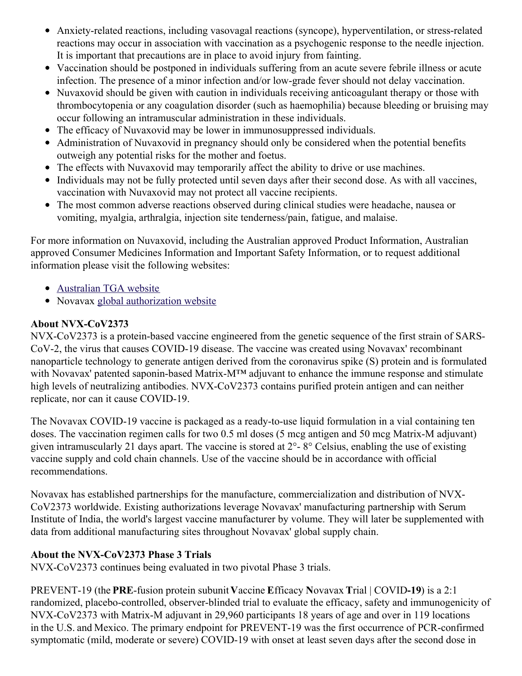- Anxiety-related reactions, including vasovagal reactions (syncope), hyperventilation, or stress-related reactions may occur in association with vaccination as a psychogenic response to the needle injection. It is important that precautions are in place to avoid injury from fainting.
- Vaccination should be postponed in individuals suffering from an acute severe febrile illness or acute infection. The presence of a minor infection and/or low-grade fever should not delay vaccination.
- Nuvaxovid should be given with caution in individuals receiving anticoagulant therapy or those with thrombocytopenia or any coagulation disorder (such as haemophilia) because bleeding or bruising may occur following an intramuscular administration in these individuals.
- The efficacy of Nuvaxovid may be lower in immunosuppressed individuals.
- Administration of Nuvaxovid in pregnancy should only be considered when the potential benefits outweigh any potential risks for the mother and foetus.
- The effects with Nuvaxovid may temporarily affect the ability to drive or use machines.
- Individuals may not be fully protected until seven days after their second dose. As with all vaccines, vaccination with Nuvaxovid may not protect all vaccine recipients.
- The most common adverse reactions observed during clinical studies were headache, nausea or vomiting, myalgia, arthralgia, injection site tenderness/pain, fatigue, and malaise.

For more information on Nuvaxovid, including the Australian approved Product Information, Australian approved Consumer Medicines Information and Important Safety Information, or to request additional information please visit the following websites:

- [Australian](https://c212.net/c/link/?t=0&l=en&o=3564758-1&h=2626566454&u=https%3A%2F%2Fwww.tga.gov.au%2Fcovid-19-vaccine-provisional-registrations&a=Australian+TGA+website) TGA website
- Novavax global [authorization](https://c212.net/c/link/?t=0&l=en&o=3564758-1&h=598718145&u=https%3A%2F%2Fwww.novavaxcovidvaccine.com%2F&a=global+authorization+website) website

# **About NVX-CoV2373**

NVX-CoV2373 is a protein-based vaccine engineered from the genetic sequence of the first strain of SARS-CoV-2, the virus that causes COVID-19 disease. The vaccine was created using Novavax' recombinant nanoparticle technology to generate antigen derived from the coronavirus spike (S) protein and is formulated with Novavax' patented saponin-based Matrix-M™ adjuvant to enhance the immune response and stimulate high levels of neutralizing antibodies. NVX-CoV2373 contains purified protein antigen and can neither replicate, nor can it cause COVID-19.

The Novavax COVID-19 vaccine is packaged as a ready-to-use liquid formulation in a vial containing ten doses. The vaccination regimen calls for two 0.5 ml doses (5 mcg antigen and 50 mcg Matrix-M adjuvant) given intramuscularly 21 days apart. The vaccine is stored at 2°- 8° Celsius, enabling the use of existing vaccine supply and cold chain channels. Use of the vaccine should be in accordance with official recommendations.

Novavax has established partnerships for the manufacture, commercialization and distribution of NVX-CoV2373 worldwide. Existing authorizations leverage Novavax' manufacturing partnership with Serum Institute of India, the world's largest vaccine manufacturer by volume. They will later be supplemented with data from additional manufacturing sites throughout Novavax' global supply chain.

## **About the NVX-CoV2373 Phase 3 Trials**

NVX-CoV2373 continues being evaluated in two pivotal Phase 3 trials.

PREVENT-19 (the **PRE**-fusion protein subunit **V**accine **E**fficacy **N**ovavax **T**rial | COVID**-19**) is a 2:1 randomized, placebo-controlled, observer-blinded trial to evaluate the efficacy, safety and immunogenicity of NVX-CoV2373 with Matrix-M adjuvant in 29,960 participants 18 years of age and over in 119 locations in the U.S. and Mexico. The primary endpoint for PREVENT-19 was the first occurrence of PCR-confirmed symptomatic (mild, moderate or severe) COVID-19 with onset at least seven days after the second dose in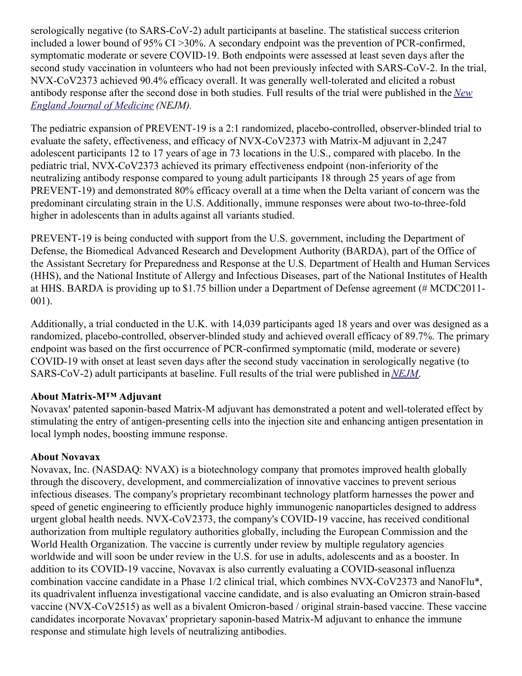serologically negative (to SARS-CoV-2) adult participants at baseline. The statistical success criterion included a lower bound of 95% CI >30%. A secondary endpoint was the prevention of PCR-confirmed, symptomatic moderate or severe COVID-19. Both endpoints were assessed at least seven days after the second study vaccination in volunteers who had not been previously infected with SARS-CoV-2. In the trial, NVX-CoV2373 achieved 90.4% efficacy overall. It was generally well-tolerated and elicited a robust antibody response after the second dose in both studies. Full results of the trial were [published](https://c212.net/c/link/?t=0&l=en&o=3564758-1&h=1087536871&u=https%3A%2F%2Fc212.net%2Fc%2Flink%2F%3Ft%3D0%26l%3Den%26o%3D3440781-1%26h%3D467849857%26u%3Dhttps%253A%252F%252Fwww.nejm.org%252Fdoi%252Ffull%252F10.1056%252FNEJMoa2116185%253Fquery%253Dfeatured_home%26a%3DNew%2BEngland%2BJournal%2Bof%2BMedicine&a=New+England+Journal+of+Medicine) in the *New England Journal of Medicine (NEJM).*

The pediatric expansion of PREVENT-19 is a 2:1 randomized, placebo-controlled, observer-blinded trial to evaluate the safety, effectiveness, and efficacy of NVX-CoV2373 with Matrix-M adjuvant in 2,247 adolescent participants 12 to 17 years of age in 73 locations in the U.S., compared with placebo. In the pediatric trial, NVX-CoV2373 achieved its primary effectiveness endpoint (non-inferiority of the neutralizing antibody response compared to young adult participants 18 through 25 years of age from PREVENT-19) and demonstrated 80% efficacy overall at a time when the Delta variant of concern was the predominant circulating strain in the U.S. Additionally, immune responses were about two-to-three-fold higher in adolescents than in adults against all variants studied.

PREVENT-19 is being conducted with support from the U.S. government, including the Department of Defense, the Biomedical Advanced Research and Development Authority (BARDA), part of the Office of the Assistant Secretary for Preparedness and Response at the U.S. Department of Health and Human Services (HHS), and the National Institute of Allergy and Infectious Diseases, part of the National Institutes of Health at HHS. BARDA is providing up to \$1.75 billion under a Department of Defense agreement (# MCDC2011- 001).

Additionally, a trial conducted in the U.K. with 14,039 participants aged 18 years and over was designed as a randomized, placebo-controlled, observer-blinded study and achieved overall efficacy of 89.7%. The primary endpoint was based on the first occurrence of PCR-confirmed symptomatic (mild, moderate or severe) COVID-19 with onset at least seven days after the second study vaccination in serologically negative (to SARS-CoV-2) adult participants at baseline. Full results of the trial were published in*[NEJM](https://c212.net/c/link/?t=0&l=en&o=3564758-1&h=2740507576&u=https%3A%2F%2Fc212.net%2Fc%2Flink%2F%3Ft%3D0%26l%3Den%26o%3D3440781-1%26h%3D3617137863%26u%3Dhttps%253A%252F%252Fwww.nejm.org%252Fdoi%252Ffull%252F10.1056%252FNEJMoa2107659%26a%3DNEJM&a=NEJM)*.

## **About Matrix-M™ Adjuvant**

Novavax' patented saponin-based Matrix-M adjuvant has demonstrated a potent and well-tolerated effect by stimulating the entry of antigen-presenting cells into the injection site and enhancing antigen presentation in local lymph nodes, boosting immune response.

## **About Novavax**

Novavax, Inc. (NASDAQ: NVAX) is a biotechnology company that promotes improved health globally through the discovery, development, and commercialization of innovative vaccines to prevent serious infectious diseases. The company's proprietary recombinant technology platform harnesses the power and speed of genetic engineering to efficiently produce highly immunogenic nanoparticles designed to address urgent global health needs. NVX-CoV2373, the company's COVID-19 vaccine, has received conditional authorization from multiple regulatory authorities globally, including the European Commission and the World Health Organization. The vaccine is currently under review by multiple regulatory agencies worldwide and will soon be under review in the U.S. for use in adults, adolescents and as a booster. In addition to its COVID-19 vaccine, Novavax is also currently evaluating a COVID-seasonal influenza combination vaccine candidate in a Phase 1/2 clinical trial, which combines NVX-CoV2373 and NanoFlu\*, its quadrivalent influenza investigational vaccine candidate, and is also evaluating an Omicron strain-based vaccine (NVX-CoV2515) as well as a bivalent Omicron-based / original strain-based vaccine. These vaccine candidates incorporate Novavax' proprietary saponin-based Matrix-M adjuvant to enhance the immune response and stimulate high levels of neutralizing antibodies.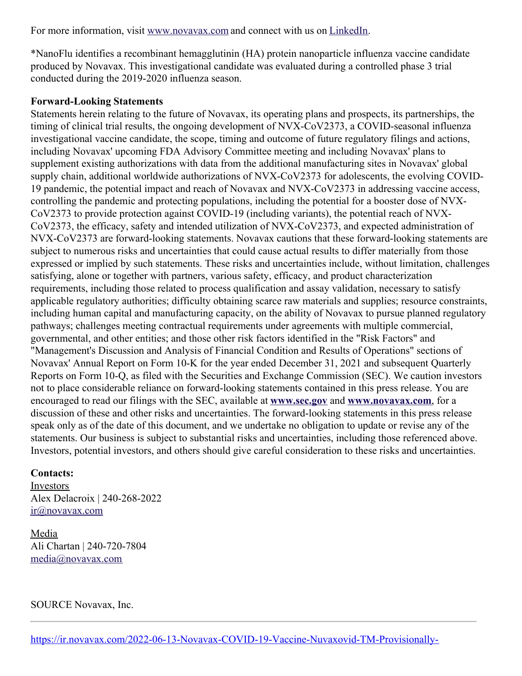For more information, visit [www.novavax.com](https://c212.net/c/link/?t=0&l=en&o=3564758-1&h=1088427755&u=https%3A%2F%2Fc212.net%2Fc%2Flink%2F%3Ft%3D0%26l%3Den%26o%3D3460980-1%26h%3D3623927874%26u%3Dhttps%253A%252F%252Fc212.net%252Fc%252Flink%252F%253Ft%253D0%2526l%253Den%2526o%253D3457869-1%2526h%253D982408174%2526u%253Dhttps%25253A%25252F%25252Fc212.net%25252Fc%25252Flink%25252F%25253Ft%25253D0%252526l%25253Den%252526o%25253D3440781-1%252526h%25253D3964594936%252526u%25253Dhttps%2525253A%2525252F%2525252Fc212.net%2525252Fc%2525252Flink%2525252F%2525253Ft%2525253D0%25252526l%2525253Den%25252526o%2525253D3395501-1%25252526h%2525253D2463599076%25252526u%2525253Dhttps%252525253A%252525252F%252525252Fc212.net%252525252Fc%252525252Flink%252525252F%252525253Ft%252525253D0%2525252526l%252525253Den%2525252526o%252525253D3392093-1%2525252526h%252525253D203886192%2525252526u%252525253Dhttps%25252525253A%25252525252F%25252525252Fc212.net%25252525252Fc%25252525252Flink%25252525252F%25252525253Ft%25252525253D0%252525252526l%25252525253Den%252525252526o%25252525253D3387216-1%252525252526h%25252525253D3917401194%252525252526u%25252525253Dhttps%2525252525253A%2525252525252F%2525252525252Fc212.net%2525252525252Fc%2525252525252Flink%2525252525252F%2525252525253Ft%2525252525253D0%25252525252526l%2525252525253Den%25252525252526o%2525252525253D3260461-1%25252525252526h%2525252525253D2897486098%25252525252526u%2525252525253Dhttp%252525252525253A%252525252525252F%252525252525252Fwww.novavax.com%252525252525252F%25252525252526a%2525252525253Dwww.novavax.com%252525252526a%25252525253Dwww.novavax.com%2525252526a%252525253Dwww.novavax.com%25252526a%2525253Dwww.novavax.com%252526a%25253Dwww.novavax.com%2526a%253Dwww.novavax.com%26a%3Dwww.novavax.com&a=www.novavax.com) and connect with us on [LinkedIn.](https://c212.net/c/link/?t=0&l=en&o=3564758-1&h=1544600986&u=https%3A%2F%2Fc212.net%2Fc%2Flink%2F%3Ft%3D0%26l%3Den%26o%3D3460980-1%26h%3D91088807%26u%3Dhttps%253A%252F%252Fc212.net%252Fc%252Flink%252F%253Ft%253D0%2526l%253Den%2526o%253D3457869-1%2526h%253D1725473980%2526u%253Dhttps%25253A%25252F%25252Fc212.net%25252Fc%25252Flink%25252F%25253Ft%25253D0%252526l%25253Den%252526o%25253D3440781-1%252526h%25253D2733326919%252526u%25253Dhttps%2525253A%2525252F%2525252Fc212.net%2525252Fc%2525252Flink%2525252F%2525253Ft%2525253D0%25252526l%2525253Den%25252526o%2525253D3395501-1%25252526h%2525253D853375093%25252526u%2525253Dhttps%252525253A%252525252F%252525252Fc212.net%252525252Fc%252525252Flink%252525252F%252525253Ft%252525253D0%2525252526l%252525253Den%2525252526o%252525253D3392093-1%2525252526h%252525253D1325598136%2525252526u%252525253Dhttps%25252525253A%25252525252F%25252525252Fc212.net%25252525252Fc%25252525252Flink%25252525252F%25252525253Ft%25252525253D0%252525252526l%25252525253Den%252525252526o%25252525253D3387216-1%252525252526h%25252525253D2935962557%252525252526u%25252525253Dhttps%2525252525253A%2525252525252F%2525252525252Fc212.net%2525252525252Fc%2525252525252Flink%2525252525252F%2525252525253Ft%2525252525253D0%25252525252526l%2525252525253Den%25252525252526o%2525252525253D3260461-1%25252525252526h%2525252525253D1508558197%25252525252526u%2525252525253Dhttps%252525252525253A%252525252525252F%252525252525252Fc212.net%252525252525252Fc%252525252525252Flink%252525252525252F%252525252525253Ft%252525252525253D0%2525252525252526l%252525252525253Den%2525252525252526o%252525252525253D3158017-1%2525252525252526h%252525252525253D3702938248%2525252525252526u%252525252525253Dhttps%25252525252525253A%25252525252525252F%25252525252525252Fwww.linkedin.com%25252525252525252Fcompany%25252525252525252Fnovavax%25252525252525252F%2525252525252526a%252525252525253DLinkedIn%25252525252526a%2525252525253DLinkedIn%252525252526a%25252525253DLinkedIn%2525252526a%252525253DLinkedIn%25252526a%2525253DLinkedIn%252526a%25253DLinkedIn%2526a%253DLinkedIn%26a%3DLinkedIn&a=LinkedIn)

\*NanoFlu identifies a recombinant hemagglutinin (HA) protein nanoparticle influenza vaccine candidate produced by Novavax. This investigational candidate was evaluated during a controlled phase 3 trial conducted during the 2019-2020 influenza season.

#### **Forward-Looking Statements**

Statements herein relating to the future of Novavax, its operating plans and prospects, its partnerships, the timing of clinical trial results, the ongoing development of NVX-CoV2373, a COVID-seasonal influenza investigational vaccine candidate, the scope, timing and outcome of future regulatory filings and actions, including Novavax' upcoming FDA Advisory Committee meeting and including Novavax' plans to supplement existing authorizations with data from the additional manufacturing sites in Novavax' global supply chain, additional worldwide authorizations of NVX-CoV2373 for adolescents, the evolving COVID-19 pandemic, the potential impact and reach of Novavax and NVX-CoV2373 in addressing vaccine access, controlling the pandemic and protecting populations, including the potential for a booster dose of NVX-CoV2373 to provide protection against COVID-19 (including variants), the potential reach of NVX-CoV2373, the efficacy, safety and intended utilization of NVX-CoV2373, and expected administration of NVX-CoV2373 are forward-looking statements. Novavax cautions that these forward-looking statements are subject to numerous risks and uncertainties that could cause actual results to differ materially from those expressed or implied by such statements. These risks and uncertainties include, without limitation, challenges satisfying, alone or together with partners, various safety, efficacy, and product characterization requirements, including those related to process qualification and assay validation, necessary to satisfy applicable regulatory authorities; difficulty obtaining scarce raw materials and supplies; resource constraints, including human capital and manufacturing capacity, on the ability of Novavax to pursue planned regulatory pathways; challenges meeting contractual requirements under agreements with multiple commercial, governmental, and other entities; and those other risk factors identified in the "Risk Factors" and "Management's Discussion and Analysis of Financial Condition and Results of Operations" sections of Novavax' Annual Report on Form 10-K for the year ended December 31, 2021 and subsequent Quarterly Reports on Form 10-Q, as filed with the Securities and Exchange Commission (SEC). We caution investors not to place considerable reliance on forward-looking statements contained in this press release. You are encouraged to read our filings with the SEC, available at **[www.sec.gov](https://c212.net/c/link/?t=0&l=en&o=3564758-1&h=1255490385&u=https%3A%2F%2Fwww.sec.gov%2F&a=www.sec.gov)** and **[www.novavax.com](https://c212.net/c/link/?t=0&l=en&o=3564758-1&h=3880176271&u=https%3A%2F%2Fwww.novavax.com%2F&a=www.novavax.com)**, for a discussion of these and other risks and uncertainties. The forward-looking statements in this press release speak only as of the date of this document, and we undertake no obligation to update or revise any of the statements. Our business is subject to substantial risks and uncertainties, including those referenced above. Investors, potential investors, and others should give careful consideration to these risks and uncertainties.

### **Contacts:**

Investors Alex Delacroix | 240-268-2022 [ir@novavax.com](mailto:ir@novavax.com)

Media Ali Chartan | 240-720-7804 [media@novavax.com](mailto:media@novavax.com)

SOURCE Novavax, Inc.